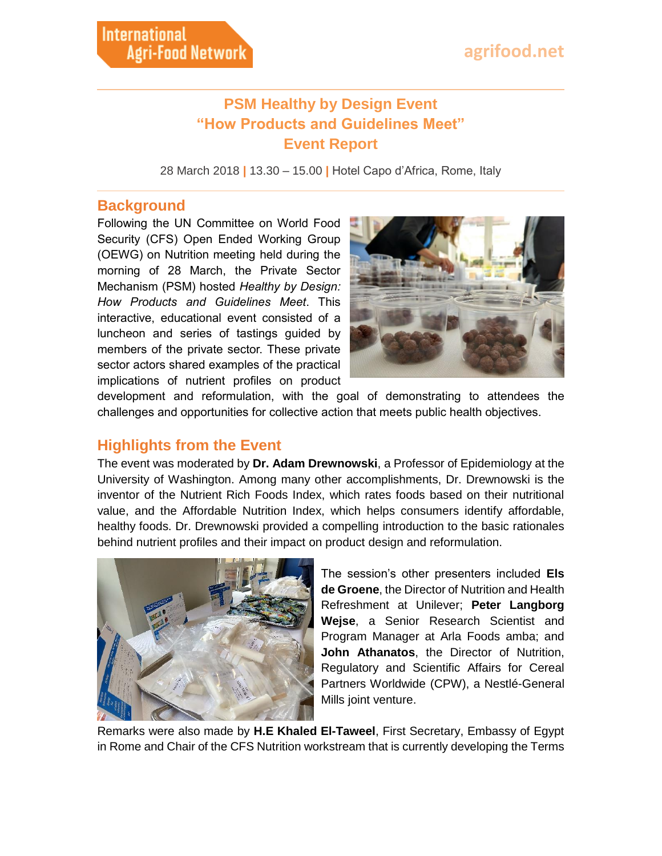## **PSM Healthy by Design Event "How Products and Guidelines Meet" Event Report**

28 March 2018 **|** 13.30 – 15.00 **|** Hotel Capo d'Africa, Rome, Italy

#### **Background**

Following the UN Committee on World Food Security (CFS) Open Ended Working Group (OEWG) on Nutrition meeting held during the morning of 28 March, the Private Sector Mechanism (PSM) hosted *Healthy by Design: How Products and Guidelines Meet*. This interactive, educational event consisted of a luncheon and series of tastings guided by members of the private sector. These private sector actors shared examples of the practical implications of nutrient profiles on product



development and reformulation, with the goal of demonstrating to attendees the challenges and opportunities for collective action that meets public health objectives.

#### **Highlights from the Event**

The event was moderated by **Dr. Adam Drewnowski**, a Professor of Epidemiology at the University of Washington. Among many other accomplishments, Dr. Drewnowski is the inventor of the Nutrient Rich Foods Index, which rates foods based on their nutritional value, and the Affordable Nutrition Index, which helps consumers identify affordable, healthy foods. Dr. Drewnowski provided a compelling introduction to the basic rationales behind nutrient profiles and their impact on product design and reformulation.



The session's other presenters included **Els de Groene**, the Director of Nutrition and Health Refreshment at Unilever; **Peter Langborg Wejse**, a Senior Research Scientist and Program Manager at Arla Foods amba; and **John Athanatos**, the Director of Nutrition, Regulatory and Scientific Affairs for Cereal Partners Worldwide (CPW), a Nestlé-General Mills joint venture.

Remarks were also made by **H.E Khaled El-Taweel**, First Secretary, Embassy of Egypt in Rome and Chair of the CFS Nutrition workstream that is currently developing the Terms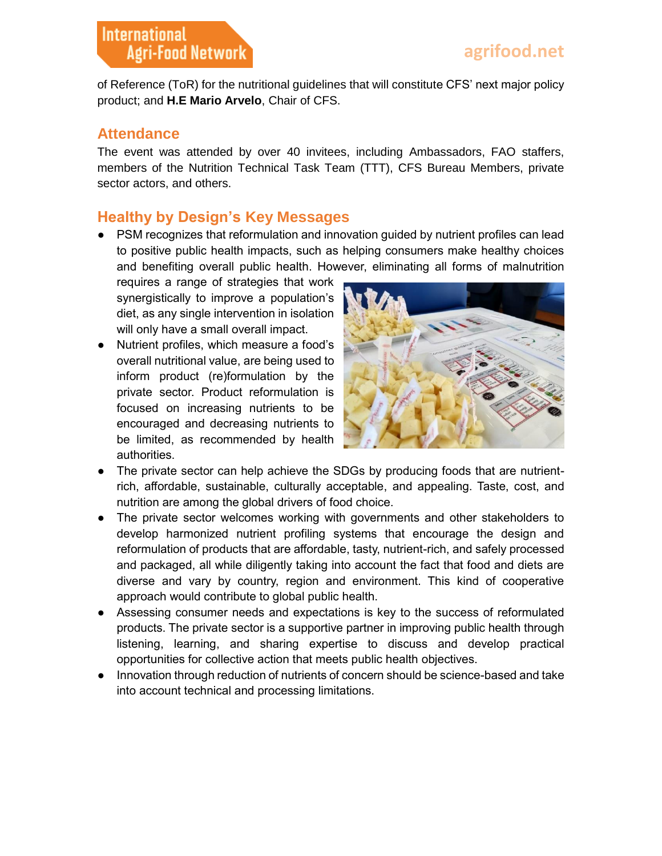of Reference (ToR) for the nutritional guidelines that will constitute CFS' next major policy product; and **H.E Mario Arvelo**, Chair of CFS.

#### **Attendance**

The event was attended by over 40 invitees, including Ambassadors, FAO staffers, members of the Nutrition Technical Task Team (TTT), CFS Bureau Members, private sector actors, and others.

### **Healthy by Design's Key Messages**

● PSM recognizes that reformulation and innovation guided by nutrient profiles can lead to positive public health impacts, such as helping consumers make healthy choices and benefiting overall public health. However, eliminating all forms of malnutrition

requires a range of strategies that work synergistically to improve a population's diet, as any single intervention in isolation will only have a small overall impact.

● Nutrient profiles, which measure a food's overall nutritional value, are being used to inform product (re)formulation by the private sector. Product reformulation is focused on increasing nutrients to be encouraged and decreasing nutrients to be limited, as recommended by health authorities.



- The private sector can help achieve the SDGs by producing foods that are nutrientrich, affordable, sustainable, culturally acceptable, and appealing. Taste, cost, and nutrition are among the global drivers of food choice.
- The private sector welcomes working with governments and other stakeholders to develop harmonized nutrient profiling systems that encourage the design and reformulation of products that are affordable, tasty, nutrient-rich, and safely processed and packaged, all while diligently taking into account the fact that food and diets are diverse and vary by country, region and environment. This kind of cooperative approach would contribute to global public health.
- Assessing consumer needs and expectations is key to the success of reformulated products. The private sector is a supportive partner in improving public health through listening, learning, and sharing expertise to discuss and develop practical opportunities for collective action that meets public health objectives.
- Innovation through reduction of nutrients of concern should be science-based and take into account technical and processing limitations.